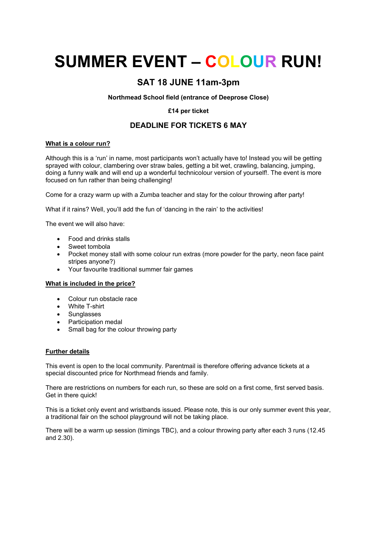# **SUMMER EVENT – COLOUR RUN!**

## **SAT 18 JUNE 11am-3pm**

#### **Northmead School field (entrance of Deeprose Close)**

#### **£14 per ticket**

### **DEADLINE FOR TICKETS 6 MAY**

#### **What is a colour run?**

Although this is a 'run' in name, most participants won't actually have to! Instead you will be getting sprayed with colour, clambering over straw bales, getting a bit wet, crawling, balancing, jumping, doing a funny walk and will end up a wonderful technicolour version of yourself!. The event is more focused on fun rather than being challenging!

Come for a crazy warm up with a Zumba teacher and stay for the colour throwing after party!

What if it rains? Well, you'll add the fun of 'dancing in the rain' to the activities!

The event we will also have:

- Food and drinks stalls
- Sweet tombola
- Pocket money stall with some colour run extras (more powder for the party, neon face paint stripes anyone?)
- Your favourite traditional summer fair games

#### **What is included in the price?**

- Colour run obstacle race
- White T-shirt
- Sunglasses
- Participation medal
- Small bag for the colour throwing party

#### **Further details**

This event is open to the local community. Parentmail is therefore offering advance tickets at a special discounted price for Northmead friends and family.

There are restrictions on numbers for each run, so these are sold on a first come, first served basis. Get in there quick!

This is a ticket only event and wristbands issued. Please note, this is our only summer event this year, a traditional fair on the school playground will not be taking place.

There will be a warm up session (timings TBC), and a colour throwing party after each 3 runs (12.45 and 2.30).